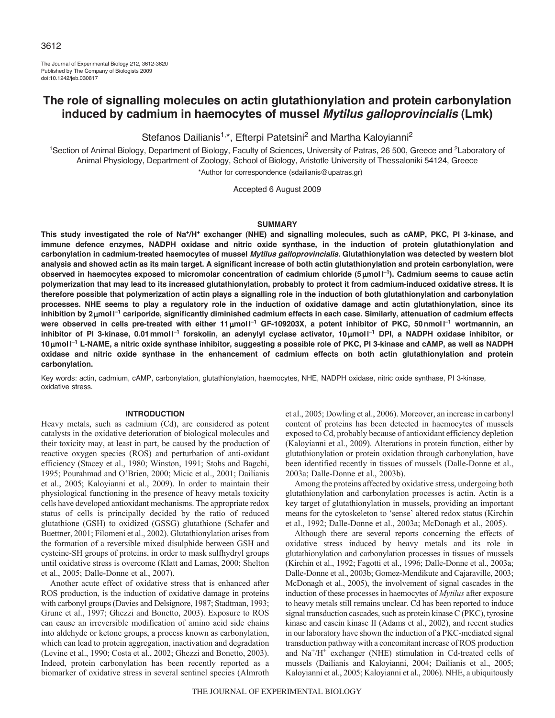The Journal of Experimental Biology 212, 3612-3620 Published by The Company of Biologists 2009 doi:10.1242/jeb.030817

# **The role of signalling molecules on actin glutathionylation and protein carbonylation induced by cadmium in haemocytes of mussel** *Mytilus galloprovincialis* **(Lmk)**

Stefanos Dailianis<sup>1,\*</sup>, Efterpi Patetsini<sup>2</sup> and Martha Kaloyianni<sup>2</sup>

<sup>1</sup>Section of Animal Biology, Department of Biology, Faculty of Sciences, University of Patras, 26 500, Greece and <sup>2</sup>Laboratory of Animal Physiology, Department of Zoology, School of Biology, Aristotle University of Thessaloniki 54124, Greece \*Author for correspondence (sdailianis@upatras.gr)

Accepted 6 August 2009

#### **SUMMARY**

**This study investigated the role of Na+/H+ exchanger (NHE) and signalling molecules, such as cAMP, PKC, PI 3-kinase, and immune defence enzymes, NADPH oxidase and nitric oxide synthase, in the induction of protein glutathionylation and carbonylation in cadmium-treated haemocytes of mussel** *Mytilus galloprovincialis***. Glutathionylation was detected by western blot analysis and showed actin as its main target. A significant increase of both actin glutathionylation and protein carbonylation, were observed in haemocytes exposed to micromolar concentration of cadmium chloride (5moll –1). Cadmium seems to cause actin polymerization that may lead to its increased glutathionylation, probably to protect it from cadmium-induced oxidative stress. It is therefore possible that polymerization of actin plays a signalling role in the induction of both glutathionylation and carbonylation processes. NHE seems to play a regulatory role in the induction of oxidative damage and actin glutathionylation, since its inhibition by 2 moll –1 cariporide, significantly diminished cadmium effects in each case. Similarly, attenuation of cadmium effects were observed in cells pre-treated with either 11 moll –1 GF-109203X, a potent inhibitor of PKC, 50nmoll –1 wortmannin, an inhibitor of PI 3-kinase, 0.01mmoll –1 forskolin, an adenylyl cyclase activator, 10 moll –1 DPI, a NADPH oxidase inhibitor, or 10 moll –1 L-NAME, a nitric oxide synthase inhibitor, suggesting a possible role of PKC, PI 3-kinase and cAMP, as well as NADPH oxidase and nitric oxide synthase in the enhancement of cadmium effects on both actin glutathionylation and protein carbonylation.**

Key words: actin, cadmium, cAMP, carbonylation, glutathionylation, haemocytes, NHE, NADPH oxidase, nitric oxide synthase, PI 3-kinase, oxidative stress.

## **INTRODUCTION**

Heavy metals, such as cadmium (Cd), are considered as potent catalysts in the oxidative deterioration of biological molecules and their toxicity may, at least in part, be caused by the production of reactive oxygen species (ROS) and perturbation of anti-oxidant efficiency (Stacey et al., 1980; Winston, 1991; Stohs and Bagchi, 1995; Pourahmad and O'Brien, 2000; Micic et al., 2001; Dailianis et al., 2005; Kaloyianni et al., 2009). In order to maintain their physiological functioning in the presence of heavy metals toxicity cells have developed antioxidant mechanisms. The appropriate redox status of cells is principally decided by the ratio of reduced glutathione (GSH) to oxidized (GSSG) glutathione (Schafer and Buettner, 2001; Filomeni et al., 2002). Glutathionylation arises from the formation of a reversible mixed disulphide between GSH and cysteine-SH groups of proteins, in order to mask sulfhydryl groups until oxidative stress is overcome (Klatt and Lamas, 2000; Shelton et al., 2005; Dalle-Donne et al., 2007).

Another acute effect of oxidative stress that is enhanced after ROS production, is the induction of oxidative damage in proteins with carbonyl groups (Davies and Delsignore, 1987; Stadtman, 1993; Grune et al., 1997; Ghezzi and Bonetto, 2003). Exposure to ROS can cause an irreversible modification of amino acid side chains into aldehyde or ketone groups, a process known as carbonylation, which can lead to protein aggregation, inactivation and degradation (Levine et al., 1990; Costa et al., 2002; Ghezzi and Bonetto, 2003). Indeed, protein carbonylation has been recently reported as a biomarker of oxidative stress in several sentinel species (Almroth et al., 2005; Dowling et al., 2006). Moreover, an increase in carbonyl content of proteins has been detected in haemocytes of mussels exposed to Cd, probably because of antioxidant efficiency depletion (Kaloyianni et al., 2009). Alterations in protein function, either by glutathionylation or protein oxidation through carbonylation, have been identified recently in tissues of mussels (Dalle-Donne et al., 2003a; Dalle-Donne et al., 2003b).

Among the proteins affected by oxidative stress, undergoing both glutathionylation and carbonylation processes is actin. Actin is a key target of glutathionylation in mussels, providing an important means for the cytoskeleton to 'sense' altered redox status (Kirchin et al., 1992; Dalle-Donne et al., 2003a; McDonagh et al., 2005).

Although there are several reports concerning the effects of oxidative stress induced by heavy metals and its role in glutathionylation and carbonylation processes in tissues of mussels (Kirchin et al., 1992; Fagotti et al., 1996; Dalle-Donne et al., 2003a; Dalle-Donne et al., 2003b; Gomez-Mendikute and Cajaraville, 2003; McDonagh et al., 2005), the involvement of signal cascades in the induction of these processes in haemocytes of *Mytilus* after exposure to heavy metals still remains unclear. Cd has been reported to induce signal transduction cascades, such as protein kinase C (PKC), tyrosine kinase and casein kinase II (Adams et al., 2002), and recent studies in our laboratory have shown the induction of a PKC-mediated signal transduction pathway with a concomitant increase of ROS production and  $Na<sup>+</sup>/H<sup>+</sup>$  exchanger (NHE) stimulation in Cd-treated cells of mussels (Dailianis and Kaloyianni, 2004; Dailianis et al., 2005; Kaloyianni et al., 2005; Kaloyianni et al., 2006). NHE, a ubiquitously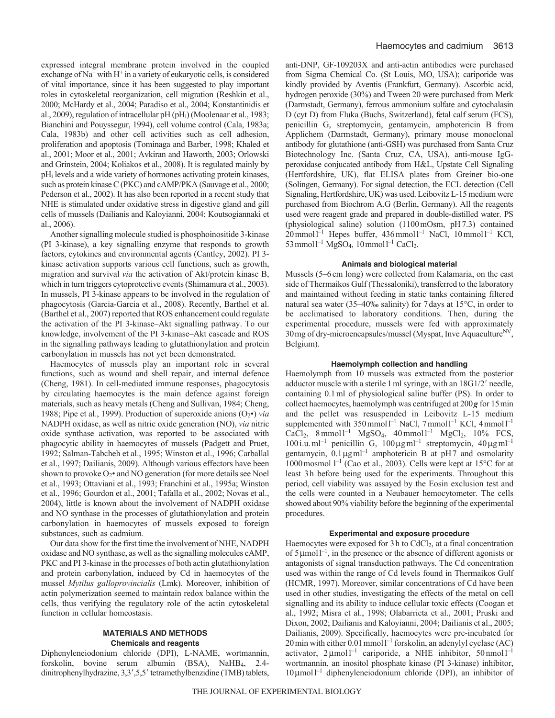expressed integral membrane protein involved in the coupled exchange of  $Na<sup>+</sup>$  with H<sup>+</sup> in a variety of eukaryotic cells, is considered of vital importance, since it has been suggested to play important roles in cytoskeletal reorganization, cell migration (Reshkin et al., 2000; McHardy et al., 2004; Paradiso et al., 2004; Konstantinidis et al., 2009), regulation of intracellular pH (pH<sub>i</sub>) (Moolenaar et al., 1983; Bianchini and Pouyssegur, 1994), cell volume control (Cala, 1983a; Cala, 1983b) and other cell activities such as cell adhesion, proliferation and apoptosis (Tominaga and Barber, 1998; Khaled et al., 2001; Moor et al., 2001; Avkiran and Haworth, 2003; Orlowski and Grinstein, 2004; Koliakos et al., 2008). It is regulated mainly by pH<sub>i</sub> levels and a wide variety of hormones activating protein kinases, such as protein kinase C (PKC) and cAMP/PKA (Sauvage et al., 2000; Pederson et al., 2002). It has also been reported in a recent study that NHE is stimulated under oxidative stress in digestive gland and gill cells of mussels (Dailianis and Kaloyianni, 2004; Koutsogiannaki et al., 2006).

Another signalling molecule studied is phosphoinositide 3-kinase (PI 3-kinase), a key signalling enzyme that responds to growth factors, cytokines and environmental agents (Cantley, 2002). PI 3 kinase activation supports various cell functions, such as growth, migration and survival *via* the activation of Akt/protein kinase B, which in turn triggers cytoprotective events (Shimamura et al., 2003). In mussels, PI 3-kinase appears to be involved in the regulation of phagocytosis (Garcia-Garcia et al., 2008). Recently, Barthel et al. (Barthel et al., 2007) reported that ROS enhancement could regulate the activation of the PI 3-kinase–Akt signalling pathway. To our knowledge, involvement of the PI 3-kinase–Akt cascade and ROS in the signalling pathways leading to glutathionylation and protein carbonylation in mussels has not yet been demonstrated.

Haemocytes of mussels play an important role in several functions, such as wound and shell repair, and internal defence (Cheng, 1981). In cell-mediated immune responses, phagocytosis by circulating haemocytes is the main defence against foreign materials, such as heavy metals (Cheng and Sullivan, 1984; Cheng, 1988; Pipe et al., 1999). Production of superoxide anions  $(O_2^{\bullet})$  *via* NADPH oxidase, as well as nitric oxide generation (NO), *via* nitric oxide synthase activation, was reported to be associated with phagocytic ability in haemocytes of mussels (Padgett and Pruet, 1992; Salman-Tabcheh et al., 1995; Winston et al., 1996; Carballal et al., 1997; Dailianis, 2009). Although various effectors have been shown to provoke  $O_2$ • and NO generation (for more details see Noel et al., 1993; Ottaviani et al., 1993; Franchini et al., 1995a; Winston et al., 1996; Gourdon et al., 2001; Tafalla et al., 2002; Novas et al., 2004), little is known about the involvement of NADPH oxidase and NO synthase in the processes of glutathionylation and protein carbonylation in haemocytes of mussels exposed to foreign substances, such as cadmium.

Our data show for the first time the involvement of NHE, NADPH oxidase and NO synthase, as well as the signalling molecules cAMP, PKC and PI 3-kinase in the processes of both actin glutathionylation and protein carbonylation, induced by Cd in haemocytes of the mussel *Mytilus galloprovincialis* (Lmk). Moreover, inhibition of actin polymerization seemed to maintain redox balance within the cells, thus verifying the regulatory role of the actin cytoskeletal function in cellular homeostasis.

# **MATERIALS AND METHODS Chemicals and reagents**

Diphenyleneiodonium chloride (DPI), L-NAME, wortmannin, forskolin, bovine serum albumin (BSA), NaHB4, 2.4 dinitrophenylhydrazine, 3,3',5,5' tetramethylbenzidine (TMB) tablets, anti-DNP, GF-109203X and anti-actin antibodies were purchased from Sigma Chemical Co. (St Louis, MO, USA); cariporide was kindly provided by Aventis (Frankfurt, Germany). Ascorbic acid, hydrogen peroxide (30%) and Tween 20 were purchased from Merk (Darmstadt, Germany), ferrous ammonium sulfate and cytochalasin D (cyt D) from Fluka (Buchs, Switzerland), fetal calf serum (FCS), penicillin G, streptomycin, gentamycin, amphotericin B from Applichem (Darmstadt, Germany), primary mouse monoclonal antibody for glutathione (anti-GSH) was purchased from Santa Cruz Biotechnology Inc. (Santa Cruz, CA, USA), anti-mouse IgGperoxidase conjucated antibody from H&L, Upstate Cell Signaling (Hertfordshire, UK), flat ELISA plates from Greiner bio-one (Solingen, Germany). For signal detection, the ECL detection (Cell Signaling, Hertfordshire, UK) was used. Leibovitz L-15 medium were purchased from Biochrom A.G (Berlin, Germany). All the reagents used were reagent grade and prepared in double-distilled water. PS (physiological saline) solution (1100mOsm, pH7.3) contained  $20 \text{ mmol } l^{-1}$  Hepes buffer,  $436 \text{ mmol } l^{-1}$  NaCl,  $10 \text{ mmol } l^{-1}$  KCl,  $53$  mmol  $l^{-1}$  MgSO<sub>4</sub>, 10 mmol  $l^{-1}$  CaCl<sub>2</sub>.

## **Animals and biological material**

Mussels (5–6cm long) were collected from Kalamaria, on the east side of Thermaikos Gulf (Thessaloniki), transferred to the laboratory and maintained without feeding in static tanks containing filtered natural sea water (35–40‰ salinity) for 7days at 15°C, in order to be acclimatised to laboratory conditions. Then, during the experimental procedure, mussels were fed with approximately  $30$ mg of dry-microencapsules/mussel (Myspat, Inve Aquaculture<sup>NV</sup>, Belgium).

## **Haemolymph collection and handling**

Haemolymph from 10 mussels was extracted from the posterior adductor muscle with a sterile 1 ml syringe, with an 18G1/2' needle, containing 0.1ml of physiological saline buffer (PS). In order to collect haemocytes, haemolymph was centrifuged at 200*g* for 15min and the pellet was resuspended in Leibovitz L-15 medium supplemented with  $350 \text{ mmol} l^{-1}$  NaCl,  $7 \text{ mmol} l^{-1}$  KCl,  $4 \text{ mmol} l^{-1}$  $CaCl<sub>2</sub>$ , 8 mmol l<sup>-1</sup> MgSO<sub>4</sub>, 40 mmol l<sup>-1</sup> MgCl<sub>2</sub>, 10% FCS, 100 i.u.ml<sup>-1</sup> penicillin G, 100  $\mu$ g ml<sup>-1</sup> streptomycin, 40  $\mu$ g ml<sup>-1</sup> gentamycin,  $0.1 \mu g$ ml<sup>-1</sup> amphotericin B at pH7 and osmolarity 1000 mosmol  $l^{-1}$  (Cao et al., 2003). Cells were kept at 15°C for at least 3h before being used for the experiments. Throughout this period, cell viability was assayed by the Eosin exclusion test and the cells were counted in a Neubauer hemocytometer. The cells showed about 90% viability before the beginning of the experimental procedures.

## **Experimental and exposure procedure**

Haemocytes were exposed for  $3h$  to CdCl<sub>2</sub>, at a final concentration of  $5 \mu$ moll<sup>-1</sup>, in the presence or the absence of different agonists or antagonists of signal transduction pathways. The Cd concentration used was within the range of Cd levels found in Thermaikos Gulf (HCMR, 1997). Moreover, similar concentrations of Cd have been used in other studies, investigating the effects of the metal on cell signalling and its ability to induce cellular toxic effects (Coogan et al., 1992; Misra et al., 1998; Olabarrieta et al., 2001; Pruski and Dixon, 2002; Dailianis and Kaloyianni, 2004; Dailianis et al., 2005; Dailianis, 2009). Specifically, haemocytes were pre-incubated for  $20$  min with either  $0.01$  mmol  $1^{-1}$  forskolin, an adenylyl cyclase (AC) activator,  $2 \mu \text{mol}^{-1}$  cariporide, a NHE inhibitor,  $50 \text{ nmol}^{-1}$ wortmannin, an inositol phosphate kinase (PI 3-kinase) inhibitor,  $10 \mu$ mol $1^{-1}$  diphenyleneiodonium chloride (DPI), an inhibitor of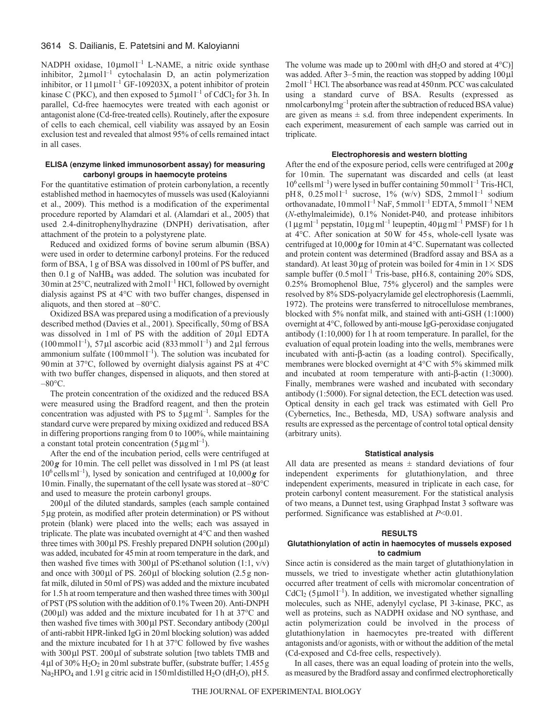NADPH oxidase, 10 µmol l<sup>-1</sup> L-NAME, a nitric oxide synthase inhibitor,  $2 \mu$ mol l<sup>-1</sup> cytochalasin D, an actin polymerization inhibitor, or  $11 \mu$ moll<sup>-1</sup> GF-109203X, a potent inhibitor of protein kinase C (PKC), and then exposed to  $5 \mu$ moll<sup>-1</sup> of CdCl<sub>2</sub> for 3h. In parallel, Cd-free haemocytes were treated with each agonist or antagonist alone (Cd-free-treated cells). Routinely, after the exposure of cells to each chemical, cell viability was assayed by an Eosin exclusion test and revealed that almost 95% of cells remained intact in all cases.

## **ELISA (enzyme linked immunosorbent assay) for measuring carbonyl groups in haemocyte proteins**

For the quantitative estimation of protein carbonylation, a recently established method in haemocytes of mussels was used (Kaloyianni et al., 2009). This method is a modification of the experimental procedure reported by Alamdari et al. (Alamdari et al., 2005) that used 2.4-dinitrophenylhydrazine (DNPH) derivatisation, after attachment of the protein to a polystyrene plate.

Reduced and oxidized forms of bovine serum albumin (BSA) were used in order to determine carbonyl proteins. For the reduced form of BSA, 1g of BSA was dissolved in 100ml of PS buffer, and then 0.1g of NaHB4 was added. The solution was incubated for 30 min at  $25^{\circ}$ C, neutralized with  $2 \text{ mol}^{-1}$  HCl, followed by overnight dialysis against PS at 4°C with two buffer changes, dispensed in aliquots, and then stored at –80°C.

Oxidized BSA was prepared using a modification of a previously described method (Davies et al., 2001). Specifically, 50mg of BSA was dissolved in 1 ml of PS with the addition of 20 µl EDTA  $(100 \text{ mmol}^{-1})$ , 57 µl ascorbic acid  $(833 \text{ mmol}^{-1})$  and 2 µl ferrous ammonium sulfate  $(100 \text{ mmol}^{-1})$ . The solution was incubated for 90min at 37°C, followed by overnight dialysis against PS at 4°C with two buffer changes, dispensed in aliquots, and then stored at  $-80$ °C.

The protein concentration of the oxidized and the reduced BSA were measured using the Bradford reagent, and then the protein concentration was adjusted with PS to  $5\mu\text{g}$  ml<sup>-1</sup>. Samples for the standard curve were prepared by mixing oxidized and reduced BSA in differing proportions ranging from 0 to 100%, while maintaining a constant total protein concentration  $(5 \mu g \text{m}^{-1})$ .

After the end of the incubation period, cells were centrifuged at 200*g* for 10min. The cell pellet was dissolved in 1ml PS (at least  $10^6$  cells ml<sup>-1</sup>), lysed by sonication and centrifuged at  $10,000g$  for 10min. Finally, the supernatant of the cell lysate was stored at –80°C and used to measure the protein carbonyl groups.

 $200 \mu$ l of the diluted standards, samples (each sample contained 5g protein, as modified after protein determination) or PS without protein (blank) were placed into the wells; each was assayed in triplicate. The plate was incubated overnight at 4°C and then washed three times with  $300 \mu$  PS. Freshly prepared DNPH solution (200 $\mu$ l) was added, incubated for 45min at room temperature in the dark, and then washed five times with 300 $\mu$ l of PS: ethanol solution (1:1, v/v) and once with  $300 \mu$ l of PS.  $260 \mu$ l of blocking solution (2.5 g nonfat milk, diluted in 50ml of PS) was added and the mixture incubated for 1.5h at room temperature and then washed three times with  $300 \mu$ of PST (PS solution with the addition of 0.1% Tween 20). Anti-DNPH (200 $\mu$ I) was added and the mixture incubated for 1h at 37 $\rm{°C}$  and then washed five times with  $300 \mu$ l PST. Secondary antibody (200 $\mu$ l of anti-rabbit HPR-linked IgG in 20ml blocking solution) was added and the mixture incubated for 1h at 37°C followed by five washes with  $300 \mu$ l PST.  $200 \mu$ l of substrate solution [two tablets TMB and  $4 \mu$ l of 30% H<sub>2</sub>O<sub>2</sub> in 20 ml substrate buffer, (substrate buffer; 1.455 g Na<sub>2</sub>HPO<sub>4</sub> and 1.91 g citric acid in 150 ml distilled H<sub>2</sub>O (dH<sub>2</sub>O), pH 5.

The volume was made up to 200 ml with  $dH_2O$  and stored at  $4^{\circ}$ C) was added. After  $3-5$  min, the reaction was stopped by adding  $100 \mu$ 2 mol<sup>1-1</sup> HCl. The absorbance was read at 450 nm. PCC was calculated using a standard curve of BSA. Results (expressed as nmol carbonyl mg<sup>-1</sup> protein after the subtraction of reduced BSA value) are given as means  $\pm$  s.d. from three independent experiments. In each experiment, measurement of each sample was carried out in triplicate.

#### **Electrophoresis and western blotting**

After the end of the exposure period, cells were centrifuged at 200*g* for 10min. The supernatant was discarded and cells (at least  $10^6$  cells ml<sup>-1</sup>) were lysed in buffer containing 50 mmol<sup>1-1</sup> Tris-HCl, pH8,  $0.25 \text{ mol}^{-1}$  sucrose,  $1\%$  (w/v) SDS,  $2 \text{ mmol}^{-1}$  sodium orthovanadate, 10 mmol<sup>1-1</sup> NaF, 5 mmol<sup>1-1</sup> EDTA, 5 mmol<sup>1-1</sup> NEM (*N*-ethylmaleimide), 0.1% Nonidet-P40, and protease inhibitors  $(1 \mu g\text{m}l^{-1}$  pepstatin,  $10 \mu g\text{m}l^{-1}$  leupeptin,  $40 \mu g\text{m}l^{-1}$  PMSF) for 1h at 4°C. After sonication at 50W for 45s, whole-cell lysate was centrifuged at 10,000*g* for 10min at 4°C. Supernatant was collected and protein content was determined (Bradford assay and BSA as a standard). At least 30 µg of protein was boiled for 4 min in  $1 \times$  SDS sample buffer  $(0.5 \text{ mol}^{-1} \text{ Tris}$ -base, pH 6.8, containing 20% SDS, 0.25% Bromophenol Blue, 75% glycerol) and the samples were resolved by 8% SDS-polyacrylamide gel electrophoresis (Laemmli, 1972). The proteins were transferred to nitrocellulose membranes, blocked with 5% nonfat milk, and stained with anti-GSH (1:1000) overnight at 4°C, followed by anti-mouse IgG-peroxidase conjugated antibody (1:10,000) for 1h at room temperature. In parallel, for the evaluation of equal protein loading into the wells, membranes were incubated with anti- $\beta$ -actin (as a loading control). Specifically, membranes were blocked overnight at 4°C with 5% skimmed milk and incubated at room temperature with anti- $\beta$ -actin (1:3000). Finally, membranes were washed and incubated with secondary antibody (1:5000). For signal detection, the ECL detection was used. Optical density in each gel track was estimated with Gell Pro (Cybernetics, Inc., Bethesda, MD, USA) software analysis and results are expressed as the percentage of control total optical density (arbitrary units).

#### **Statistical analysis**

All data are presented as means  $\pm$  standard deviations of four independent experiments for glutathionylation, and three independent experiments, measured in triplicate in each case, for protein carbonyl content measurement. For the statistical analysis of two means, a Dunnet test, using Graphpad Instat 3 software was performed. Significance was established at *P*<0.01.

## **RESULTS**

## **Glutathionylation of actin in haemocytes of mussels exposed to cadmium**

Since actin is considered as the main target of glutathionylation in mussels, we tried to investigate whether actin glutathionylation occurred after treatment of cells with micromolar concentration of CdCl<sub>2</sub> (5  $\mu$ moll<sup>-1</sup>). In addition, we investigated whether signalling molecules, such as NHE, adenylyl cyclase, PI 3-kinase, PKC, as well as proteins, such as NADPH oxidase and NO synthase, and actin polymerization could be involved in the process of glutathionylation in haemocytes pre-treated with different antagonists and/or agonists, with or without the addition of the metal (Cd-exposed and Cd-free cells, respectively).

In all cases, there was an equal loading of protein into the wells, as measured by the Bradford assay and confirmed electrophoretically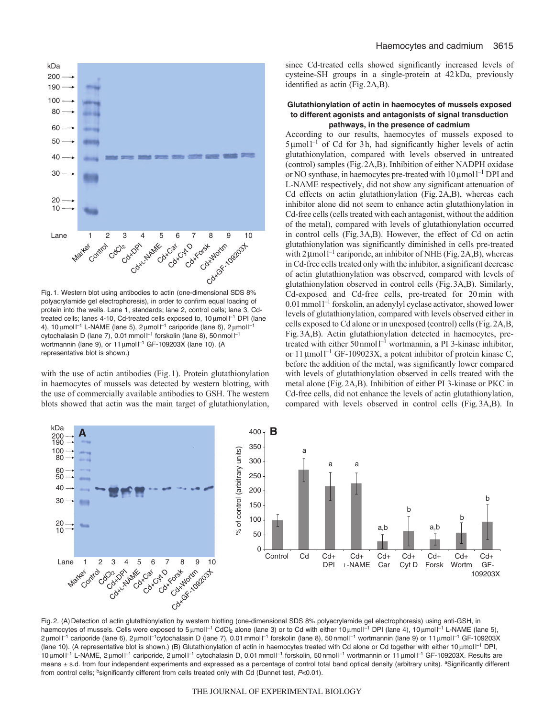

Fig. 1. Western blot using antibodies to actin (one-dimensional SDS 8% polyacrylamide gel electrophoresis), in order to confirm equal loading of protein into the wells. Lane 1, standards; lane 2, control cells; lane 3, Cdtreated cells; lanes 4-10, Cd-treated cells exposed to, 10 μmol l<sup>-1</sup> DPI (lane 4), 10  $\mu$ mol  $I^{-1}$  L-NAME (lane 5), 2  $\mu$ mol  $I^{-1}$  cariporide (lane 6), 2  $\mu$ mol  $I^{-1}$ cytochalasin D (lane 7), 0.01 mmol  $I^{-1}$  forskolin (lane 8), 50 nmol  $I^{-1}$ wortmannin (lane 9), or 11  $\mu$ mol  $I^{-1}$  GF-109203X (lane 10). (A representative blot is shown.)

with the use of actin antibodies (Fig.1). Protein glutathionylation in haemocytes of mussels was detected by western blotting, with the use of commercially available antibodies to GSH. The western blots showed that actin was the main target of glutathionylation, since Cd-treated cells showed significantly increased levels of cysteine-SH groups in a single-protein at 42 kDa, previously identified as actin (Fig.2A,B).

## **Glutathionylation of actin in haemocytes of mussels exposed to different agonists and antagonists of signal transduction pathways, in the presence of cadmium**

According to our results, haemocytes of mussels exposed to  $5 \mu$ moll<sup>-1</sup> of Cd for 3h, had significantly higher levels of actin glutathionylation, compared with levels observed in untreated (control) samples (Fig.2A,B). Inhibition of either NADPH oxidase or NO synthase, in haemocytes pre-treated with  $10 \mu$ moll<sup>-1</sup> DPI and L-NAME respectively, did not show any significant attenuation of Cd effects on actin glutathionylation (Fig.2A,B), whereas each inhibitor alone did not seem to enhance actin glutathionylation in Cd-free cells (cells treated with each antagonist, without the addition of the metal), compared with levels of glutathionylation occurred in control cells (Fig.3A,B). However, the effect of Cd on actin glutathionylation was significantly diminished in cells pre-treated with  $2 \mu$ moll<sup>-1</sup> cariporide, an inhibitor of NHE (Fig. 2A, B), whereas in Cd-free cells treated only with the inhibitor, a significant decrease of actin glutathionylation was observed, compared with levels of glutathionylation observed in control cells (Fig.3A,B). Similarly, Cd-exposed and Cd-free cells, pre-treated for 20min with  $0.01$  mmol  $l^{-1}$  forskolin, an adenylyl cyclase activator, showed lower levels of glutathionylation, compared with levels observed either in cells exposed to Cd alone or in unexposed (control) cells (Fig.2A,B, Fig.3A,B). Actin glutathionylation detected in haemocytes, pretreated with either  $50 \text{ nmol}^{-1}$  wortmannin, a PI 3-kinase inhibitor, or  $11 \mu$ mol<sup>1-1</sup> GF-109023X, a potent inhibitor of protein kinase C, before the addition of the metal, was significantly lower compared with levels of glutathionylation observed in cells treated with the metal alone (Fig.2A,B). Inhibition of either PI 3-kinase or PKC in Cd-free cells, did not enhance the levels of actin glutathionylation, compared with levels observed in control cells (Fig.3A,B). In



Fig. 2. (A) Detection of actin glutathionylation by western blotting (one-dimensional SDS 8% polyacrylamide gel electrophoresis) using anti-GSH, in haemocytes of mussels. Cells were exposed to 5 µmol l<sup>-1</sup> CdCl<sub>2</sub> alone (lane 3) or to Cd with either 10 µmol l<sup>-1</sup> DPI (lane 4), 10 µmol l<sup>-1</sup> L-NAME (lane 5), 2 μmol l<sup>−1</sup> cariporide (lane 6), 2 μmol l<sup>−1</sup>cytochalasin D (lane 7), 0.01 mmol l<sup>−1</sup> forskolin (lane 8), 50 nmol l<sup>−1</sup> wortmannin (lane 9) or 11 μmol l<sup>−1</sup> GF-109203X (lane 10). (A representative blot is shown.) (B) Glutathionylation of actin in haemocytes treated with Cd alone or Cd together with either 10 µmol I<sup>-1</sup> DPI, 10 μmol <sup>[-1</sup> L-NAME, 2 μmol <sup>[-1</sup> cariporide, 2 μmol <sup>[-1</sup> cytochalasin D, 0.01 mmol <sup>[-1</sup> forskolin, 50 nmol <sup>[-1</sup> wortmannin or 11 μmol <sup>[-1</sup> GF-109203X. Results are means ± s.d. from four independent experiments and expressed as a percentage of control total band optical density (arbitrary units). <sup>a</sup>Significantly different from control cells; <sup>b</sup>significantly different from cells treated only with Cd (Dunnet test, *P*<0.01).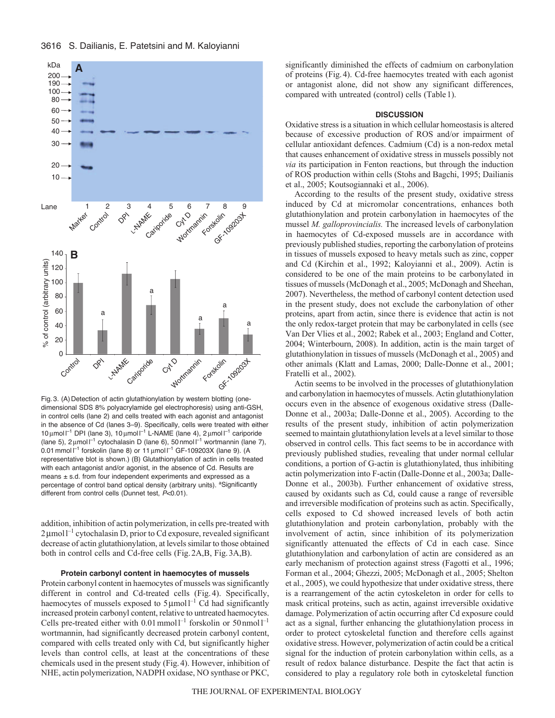



Fig. 3. (A) Detection of actin glutathionylation by western blotting (onedimensional SDS 8% polyacrylamide gel electrophoresis) using anti-GSH, in control cells (lane 2) and cells treated with each agonist and antagonist in the absence of Cd (lanes 3–9). Specifically, cells were treated with either 10 μmol l<sup>-1</sup> DPI (lane 3), 10 μmol l<sup>-1</sup> L-NAME (lane 4), 2 μmol l<sup>-1</sup> cariporide (lane 5),  $2 \mu$ mol  $I^{-1}$  cytochalasin D (lane 6), 50 nmol  $I^{-1}$  wortmannin (lane 7), 0.01 mmol  $I^{-1}$  forskolin (lane 8) or 11  $\mu$ mol  $I^{-1}$  GF-109203X (lane 9). (A representative blot is shown.) (B) Glutathionylation of actin in cells treated with each antagonist and/or agonist, in the absence of Cd. Results are means  $\pm$  s.d. from four independent experiments and expressed as a percentage of control band optical density (arbitrary units). <sup>a</sup>Significantly different from control cells (Dunnet test, *P*<0.01).

addition, inhibition of actin polymerization, in cells pre-treated with 2 µmol<sup>1-1</sup> cytochalasin D, prior to Cd exposure, revealed significant decrease of actin glutathionylation, at levels similar to those obtained both in control cells and Cd-free cells (Fig.2A,B, Fig.3A,B).

#### **Protein carbonyl content in haemocytes of mussels**

Protein carbonyl content in haemocytes of mussels was significantly different in control and Cd-treated cells (Fig.4). Specifically, haemocytes of mussels exposed to  $5 \mu$ moll<sup>-1</sup> Cd had significantly increased protein carbonyl content, relative to untreated haemocytes. Cells pre-treated either with  $0.01$  mmol<sup>1-1</sup> forskolin or 50 nmol<sup>1-1</sup> wortmannin, had significantly decreased protein carbonyl content, compared with cells treated only with Cd, but significantly higher levels than control cells, at least at the concentrations of these chemicals used in the present study (Fig.4). However, inhibition of NHE, actin polymerization, NADPH oxidase, NO synthase or PKC, significantly diminished the effects of cadmium on carbonylation of proteins (Fig.4). Cd-free haemocytes treated with each agonist or antagonist alone, did not show any significant differences, compared with untreated (control) cells (Table1).

## **DISCUSSION**

Oxidative stress is a situation in which cellular homeostasis is altered because of excessive production of ROS and/or impairment of cellular antioxidant defences. Cadmium (Cd) is a non-redox metal that causes enhancement of oxidative stress in mussels possibly not *via* its participation in Fenton reactions, but through the induction of ROS production within cells (Stohs and Bagchi, 1995; Dailianis et al., 2005; Koutsogiannaki et al., 2006).

According to the results of the present study, oxidative stress induced by Cd at micromolar concentrations, enhances both glutathionylation and protein carbonylation in haemocytes of the mussel *M. galloprovincialis.* The increased levels of carbonylation in haemocytes of Cd-exposed mussels are in accordance with previously published studies, reporting the carbonylation of proteins in tissues of mussels exposed to heavy metals such as zinc, copper and Cd (Kirchin et al., 1992; Kaloyianni et al., 2009). Actin is considered to be one of the main proteins to be carbonylated in tissues of mussels (McDonagh et al., 2005; McDonagh and Sheehan, 2007). Nevertheless, the method of carbonyl content detection used in the present study, does not exclude the carbonylation of other proteins, apart from actin, since there is evidence that actin is not the only redox-target protein that may be carbonylated in cells (see Van Der Vlies et al., 2002; Rabek et al., 2003; England and Cotter, 2004; Winterbourn, 2008). In addition, actin is the main target of glutathionylation in tissues of mussels (McDonagh et al., 2005) and other animals (Klatt and Lamas, 2000; Dalle-Donne et al., 2001; Fratelli et al., 2002).

Actin seems to be involved in the processes of glutathionylation and carbonylation in haemocytes of mussels. Actin glutathionylation occurs even in the absence of exogenous oxidative stress (Dalle-Donne et al., 2003a; Dalle-Donne et al., 2005). According to the results of the present study, inhibition of actin polymerization seemed to maintain glutathionylation levels at a level similar to those observed in control cells. This fact seems to be in accordance with previously published studies, revealing that under normal cellular conditions, a portion of G-actin is glutathionylated, thus inhibiting actin polymerization into F-actin (Dalle-Donne et al., 2003a; Dalle-Donne et al., 2003b). Further enhancement of oxidative stress, caused by oxidants such as Cd, could cause a range of reversible and irreversible modification of proteins such as actin. Specifically, cells exposed to Cd showed increased levels of both actin glutathionylation and protein carbonylation, probably with the involvement of actin, since inhibition of its polymerization significantly attenuated the effects of Cd in each case. Since glutathionylation and carbonylation of actin are considered as an early mechanism of protection against stress (Fagotti et al., 1996; Forman et al., 2004; Ghezzi, 2005; McDonagh et al., 2005; Shelton et al., 2005), we could hypothesize that under oxidative stress, there is a rearrangement of the actin cytoskeleton in order for cells to mask critical proteins, such as actin, against irreversible oxidative damage. Polymerization of actin occurring after Cd exposure could act as a signal, further enhancing the glutathionylation process in order to protect cytoskeletal function and therefore cells against oxidative stress. However, polymerization of actin could be a critical signal for the induction of protein carbonylation within cells, as a result of redox balance disturbance. Despite the fact that actin is considered to play a regulatory role both in cytoskeletal function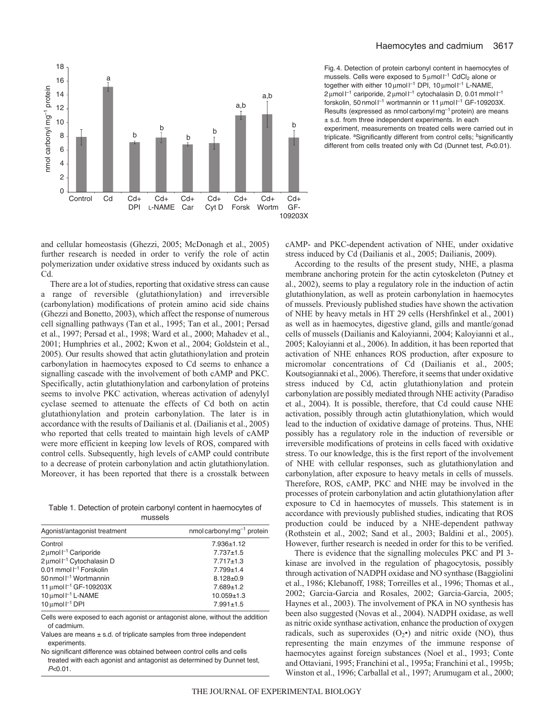



Fig. 4. Detection of protein carbonyl content in haemocytes of mussels. Cells were exposed to  $5 \mu$ mol  $I^{-1}$  CdCl<sub>2</sub> alone or together with either 10 μmol l<sup>-1</sup> DPI, 10 μmol l<sup>-1</sup> L-NAME, 2 μmol l<sup>-1</sup> cariporide, 2 μmol l<sup>-1</sup> cytochalasin D, 0.01 mmol l<sup>-1</sup> forskolin, 50 nmol l<sup>-1</sup> wortmannin or 11 µmol l<sup>-1</sup> GF-109203X. Results (expressed as nmol carbonyl  $mq^{-1}$  protein) are means ± s.d. from three independent experiments. In each experiment, measurements on treated cells were carried out in triplicate. <sup>a</sup>Significantly different from control cells: <sup>b</sup>significantly different from cells treated only with Cd (Dunnet test, *P*<0.01).

and cellular homeostasis (Ghezzi, 2005; McDonagh et al., 2005) further research is needed in order to verify the role of actin polymerization under oxidative stress induced by oxidants such as Cd.

There are a lot of studies, reporting that oxidative stress can cause a range of reversible (glutathionylation) and irreversible (carbonylation) modifications of protein amino acid side chains (Ghezzi and Bonetto, 2003), which affect the response of numerous cell signalling pathways (Tan et al., 1995; Tan et al., 2001; Persad et al., 1997; Persad et al., 1998; Ward et al., 2000; Mahadev et al., 2001; Humphries et al., 2002; Kwon et al., 2004; Goldstein et al., 2005). Our results showed that actin glutathionylation and protein carbonylation in haemocytes exposed to Cd seems to enhance a signalling cascade with the involvement of both cAMP and PKC. Specifically, actin glutathionylation and carbonylation of proteins seems to involve PKC activation, whereas activation of adenylyl cyclase seemed to attenuate the effects of Cd both on actin glutathionylation and protein carbonylation. The later is in accordance with the results of Dailianis et al. (Dailianis et al., 2005) who reported that cells treated to maintain high levels of cAMP were more efficient in keeping low levels of ROS, compared with control cells. Subsequently, high levels of cAMP could contribute to a decrease of protein carbonylation and actin glutathionylation. Moreover, it has been reported that there is a crosstalk between

Table 1. Detection of protein carbonyl content in haemocytes of mussels

| Agonist/antagonist treatment             | nmol carbonyl $mg^{-1}$ protein |
|------------------------------------------|---------------------------------|
| Control                                  | $7.936 \pm 1.12$                |
| $2 \mu$ mol $l^{-1}$ Cariporide          | $7.737 + 1.5$                   |
| 2 µmol I <sup>-1</sup> Cytochalasin D    | $7.717 \pm 1.3$                 |
| 0.01 mmol $l^{-1}$ Forskolin             | $7.799 \pm 1.4$                 |
| 50 nmol $\Gamma$ <sup>1</sup> Wortmannin | $8.128 \pm 0.9$                 |
| 11 μmol l <sup>-1</sup> GF-109203X       | $7.689 \pm 1.2$                 |
| 10 $\mu$ mol $I^{-1}$ L-NAME             | $10.059 + 1.3$                  |
| $10 \mu$ mol $I^{-1}$ DPI                | $7.991 \pm 1.5$                 |
|                                          |                                 |

Cells were exposed to each agonist or antagonist alone, without the addition of cadmium.

Values are means  $\pm$  s.d. of triplicate samples from three independent experiments.

No significant difference was obtained between control cells and cells treated with each agonist and antagonist as determined by Dunnet test, *P*<0.01.

cAMP- and PKC-dependent activation of NHE, under oxidative stress induced by Cd (Dailianis et al., 2005; Dailianis, 2009).

According to the results of the present study, NHE, a plasma membrane anchoring protein for the actin cytoskeleton (Putney et al., 2002), seems to play a regulatory role in the induction of actin glutathionylation, as well as protein carbonylation in haemocytes of mussels. Previously published studies have shown the activation of NHE by heavy metals in HT 29 cells (Hershfinkel et al., 2001) as well as in haemocytes, digestive gland, gills and mantle/gonad cells of mussels (Dailianis and Kaloyianni, 2004; Kaloyianni et al., 2005; Kaloyianni et al., 2006). In addition, it has been reported that activation of NHE enhances ROS production, after exposure to micromolar concentrations of Cd (Dailianis et al., 2005; Koutsogiannaki et al., 2006). Therefore, it seems that under oxidative stress induced by Cd, actin glutathionylation and protein carbonylation are possibly mediated through NHE activity (Paradiso et al., 2004). It is possible, therefore, that Cd could cause NHE activation, possibly through actin glutathionylation, which would lead to the induction of oxidative damage of proteins. Thus, NHE possibly has a regulatory role in the induction of reversible or irreversible modifications of proteins in cells faced with oxidative stress. To our knowledge, this is the first report of the involvement of NHE with cellular responses, such as glutathionylation and carbonylation, after exposure to heavy metals in cells of mussels. Therefore, ROS, cAMP, PKC and NHE may be involved in the processes of protein carbonylation and actin glutathionylation after exposure to Cd in haemocytes of mussels. This statement is in accordance with previously published studies, indicating that ROS production could be induced by a NHE-dependent pathway (Rothstein et al., 2002; Sand et al., 2003; Baldini et al., 2005). However, further research is needed in order for this to be verified.

There is evidence that the signalling molecules PKC and PI 3 kinase are involved in the regulation of phagocytosis, possibly through activation of NADPH oxidase and NO synthase (Baggiolini et al., 1986; Klebanoff, 1988; Torreilles et al., 1996; Thomas et al., 2002; Garcia-Garcia and Rosales, 2002; Garcia-Garcia, 2005; Haynes et al., 2003). The involvement of PKA in NO synthesis has been also suggested (Novas et al., 2004). NADPH oxidase, as well as nitric oxide synthase activation, enhance the production of oxygen radicals, such as superoxides  $(O_2\bullet)$  and nitric oxide (NO), thus representing the main enzymes of the immune response of haemocytes against foreign substances (Noel et al., 1993; Conte and Ottaviani, 1995; Franchini et al., 1995a; Franchini et al., 1995b; Winston et al., 1996; Carballal et al., 1997; Arumugam et al., 2000;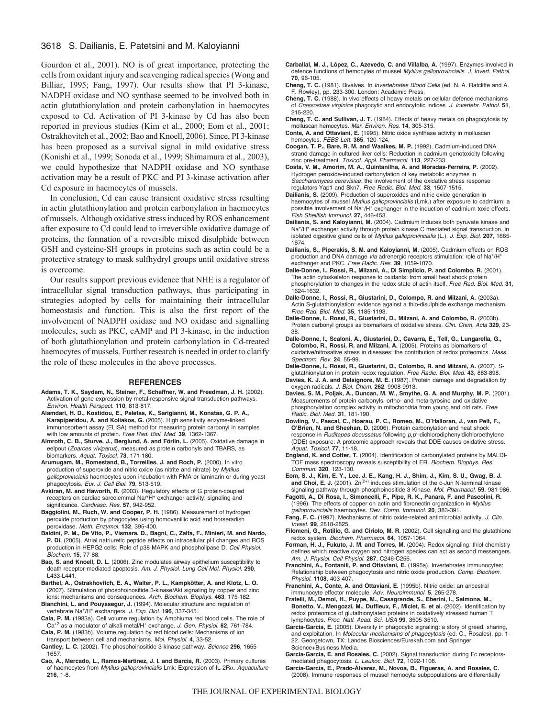# 3618 S. Dailianis, E. Patetsini and M. Kaloyianni

Gourdon et al., 2001). NO is of great importance, protecting the cells from oxidant injury and scavenging radical species (Wong and Billiar, 1995; Fang, 1997). Our results show that PI 3-kinase, NADPH oxidase and NO synthase seemed to be involved both in actin glutathionylation and protein carbonylation in haemocytes exposed to Cd. Activation of PI 3-kinase by Cd has also been reported in previous studies (Kim et al., 2000; Eom et al., 2001; Ostrakhovitch et al., 2002; Bao and Knoell, 2006). Since, PI 3-kinase has been proposed as a survival signal in mild oxidative stress (Konishi et al., 1999; Sonoda et al., 1999; Shimamura et al., 2003), we could hypothesize that NADPH oxidase and NO synthase activation may be a result of PKC and PI 3-kinase activation after Cd exposure in haemocytes of mussels.

In conclusion, Cd can cause transient oxidative stress resulting in actin glutathionylation and protein carbonylation in haemocytes of mussels. Although oxidative stress induced by ROS enhancement after exposure to Cd could lead to irreversible oxidative damage of proteins, the formation of a reversible mixed disulphide between GSH and cysteine-SH groups in proteins such as actin could be a protective strategy to mask sulfhydryl groups until oxidative stress is overcome.

Our results support previous evidence that NHE is a regulator of intracellular signal transduction pathways, thus participating in strategies adopted by cells for maintaining their intracellular homeostasis and function. This is also the first report of the involvement of NADPH oxidase and NO oxidase and signalling molecules, such as PKC, cAMP and PI 3-kinase, in the induction of both glutathionylation and protein carbonylation in Cd-treated haemocytes of mussels. Further research is needed in order to clarify the role of these molecules in the above processes.

#### **REFERENCES**

- **Adams, T. K., Saydam, N., Steiner, F., Schaffner, W. and Freedman, J. H.** (2002). Activation of gene expression by metal-responsive signal transduction pathways. *Environ. Health Perspect.* **110**, 813-817.
- **Alamdari, H. D., Kostidou, E., Paletas, K., Sarigianni, M., Konstas, G. P. A., Karapiperidou, A. and Koliakos, G.** (2005). High sensitivity enzyme-linked immunosorbent assay (ELISA) method for measuring protein carbonyl in samples with low amounts of protein. *Free Rad. Biol. Med.* **39**, 1362-1367.
- **Almroth, C. B., Sturve, J., Berglund, A. and Förlin, L.** (2005). Oxidative damage in eelpout (*Zoarces viviparus*), measured as protein carbonyls and TBARS, as biomarkers. *Aquat. Toxicol.* **73**, 171-180.
- **Arumugam, M., Romestand, B., Torreilles, J. and Roch, P.** (2000). In vitro production of superoxide and nitric oxide (as nitrite and nitrate) by *Mytilus galloprovincialis* haemocytes upon incubation with PMA or laminarin or during yeast phagocytosis. *Eur. J. Cell Biol.* **79**, 513-519.
- **Avkiran, M. and Haworth, R.** (2003). Regulatory effects of G protein-coupled receptors on cardiac sarcolemmal Na/+H+ exchanger activity: signaling and significance. *Cardvasc. Res.* **57**, 942-952.
- **Baggiolini, M., Ruch, W. and Cooper, P. H.** (1986). Measurement of hydrogen peroxide production by phagocytes using homovanillic acid and horseradish peroxidase. *Meth. Enzymol.* **132**, 395-400.
- **Baldini, P. M., De Vito, P., Vismara, D., Bagni, C., Zalfa, F., Minieri, M. and Nardo, P. Di.** (2005). Atrial natriuretic peptide effects on intracellular pH changes and ROS production in HEPG2 cells: Role of p38 MAPK and phospholipase D. *Cell Physiol. Biochem.* **15**, 77-88.
- **Bao, S. and Knoell, D. L.** (2006). Zinc modulates airway epithelium susceptibility to death receptor-mediated apoptosis. *Am. J. Physiol. Lung Cell Mol. Physiol.* **290**, L433-L441.
- **Barthel, A., Ostrakhovitch, E. A., Walter, P. L., Kampkötter, A. and Klotz, L. O.** (2007). Stimulation of phosphoinositide 3-kinase/Akt signaling by copper and zinc ions: mechanisms and consequences. *Arch. Biochem. Biophys.* **463**, 175-182.
- **Bianchini, L. and Pouyssegur, J.** (1994). Molecular structure and regulation of vertebrate Na+/H+ exchangers. *J. Exp. Biol.* **196**, 337-345.
- **Cala, P. M.** (1983a). Cell volume regulation by Amphiuma red blood cells. The role of Ca+2 as a modulator of alkali metal/H+ exchange. *J. Gen. Physiol.* **82**, 761-784. **Cala, P. M.** (1983b). Volume regulation by red blood cells: Mechanisms of ion
- transport between cell and mechanisms. *Mol. Physiol.* **4**, 33-52.
- **Cantley, L. C.** (2002). The phosphoinositide 3-kinase pathway**.** *Science* **296**, 1655- 1657.
- **Cao, A., Mercado, L., Ramos-Martinez, J. I. and Barcia, R.** (2003). Primary cultures of haemocytes from *Mytilus galloprovincialis* Lmk: Expression of IL-2R. *Aquaculture* **216**, 1-8.
- **Carballal, M. J., López, C., Azevedo, C. and Villalba, A.** (1997). Enzymes involved in defence functions of hemocytes of mussel *Mytilus galloprovincialis*. *J. Invert. Pathol.* **70**, 96-105.
- **Cheng, T. C.** (1981). Bivalves. In *Invertebrates Blood Cells* (ed. N. A. Ratcliffe and A.
- F. Rowley), pp. 233-300. London: Academic Press. **Cheng, T. C.** (1988). In vivo effects of heavy metals on cellular defence mechanisms of *Crassostrea virginica* phagocytic and endocytotic indices. *J. Invertebr. Pathol.* **51**, 215-220.
- **Cheng, T. C. and Sullivan, J. T.** (1984). Effects of heavy metals on phagocytosis by molluscan hemocytes. *Mar. Environ. Res.* **14**, 305-315.
- **Conte, A. and Ottaviani, E.** (1995). Nitric oxide synthase activity in molluscan hemocytes. *FEBS Lett.* **365**, 120-124.
- **Coogan, T. P., Bare, R. M. and Waalkes, M. P.** (1992). Cadmium-induced DNA strand damage in cultured liver cells: Reduction in cadmium genotoxicity following zinc pre-treatment. *Toxicol. Appl. Pharmacol.* **113**, 227-233.
- **Costa, V. M., Amorim, M. A., Quintanilha, A. and Moradas-Ferreira, P.** (2002). Hydrogen peroxide-induced carbonylation of key metabolic enzymes in *Saccharomyces cerevisiae*: the involvement of the oxidative stress response regulators Yap1 and Skn7. *Free Radic. Biol. Med.* **33**, 1507-1515.
- **Dailianis, S.** (2009). Production of superoxides and nitric oxide generation in haemocytes of mussel *Mytilus galloprovincialis* (Lmk.) after exposure to cadmium: a possible involvement of Na+/H+ exchanger in the induction of cadmium toxic effects. *Fish Shellfish Immunol.* **27,** 446-453.
- **Dailianis, S. and Kaloyianni, M.** (2004). Cadmium induces both pyruvate kinase and Na+/H+ exchanger activity through protein kinase C mediated signal transduction, in isolated digestive gland cells of *Mytilus galloprovincialis* (L.). *J. Exp. Biol.* **207**, 1665- 1674.
- **Dailianis, S., Piperakis, S. M. and Kaloyianni, M.** (2005). Cadmium effects on ROS production and DNA damage *via* adrenergic receptors stimulation: role of Na<sup>+</sup>/H<sup>+</sup> exchanger and PKC. *Free Radic. Res.* **39**, 1059-1070.
- **Dalle-Donne, I., Rossi, R., Milzani, A., Di Simplicio, P. and Colombo, R.** (2001). The actin cytoskeleton response to oxidants: from small heat shock protein phosphorylation to changes in the redox state of actin itself. *Free Rad. Biol. Med.* **31**, 1624-1632.
- **Dalle-Donne, I., Rossi, R., Giustarini, D., Colompo, R. and Milzani, A.** (2003a). Actin S-glutathionylation: evidence against a thio-disulphide exchange mechanism. *Free Rad. Biol. Med.* **35**, 1185-1193.
- **Dalle-Donne, I., Rossi, R., Giustarini, D., Milzani, A. and Colombo, R.** (2003b). Protein carbonyl groups as biomarkers of oxidative stress. *Clin. Chim. Acta* **329**, 23- 38.
- **Dalle-Donne, I., Scaloni, A., Giustarini, D., Cavarra, E., Tell, G., Lungarella, G., Colombo, R., Rossi, R. and Milzani, A.** (2005). Proteins as biomarkers of oxidative/nitrosative stress in diseases: the contribution of redox proteomics. *Mass. Spectrom. Rev.* **24**, 55-99.
- **Dalle-Donne, I., Rossi, R., Giustarini, D., Colombo, R. and Milzani, A.** (2007). Sglutathionylation in protein redox regulation. *Free Radic. Biol. Med.* **43**, 883-898.
- **Davies, K. J. A. and Delsignore, M. E.** (1987). Protein damage and degradation by oxygen radicals. *J. Biol. Chem.* **262**, 9908-9913.
- **Davies, S. M., Poljak, A., Duncan, M. W., Smythe, G. A. and Murphy, M. P.** (2001). Measurements of protein carbonyls, ortho- and meta-tyrosine and oxidative phosphorylation complex activity in mitochondria from young and old rats. *Free Radic. Biol. Med.* **31**, 181-190.
- **Dowling, V., Pascal, C., Hoarau, P. C., Romeo, M., O'Halloran, J., van Pelt, F., O'Brien, N. and Sheehan, D.** (2006). Protein carbonylation and heat shock response in *Ruditapes decussatus* following *p*,*p'*-dichlorodiphenyldichloroethylene (DDE) exposure: A proteomic approach reveals that DDE causes oxidative stress. *Aquat. Toxicol.* **77**, 11-18.
- **England, K. and Cotter, T.** (2004). Identification of carbonylated proteins by MALDI-TOF mass spectroscopy reveals susceptibility of ER. *Biochem. Biophys. Res. Commun.* **320**, 123-130.
- **Eom, S. J., Kim, E. Y., Lee, J. E., Kang, H. J., Shim, J., Kim, S. U., Gwag, B. J.** and Choi, E. J. (2001).  $Zn^{(2+)}$  induces stimulation of the c-Jun N-terminal kinase signaling pathway through phosphoinositide 3-Kinase. *Mol. Pharmacol.* **59**, 981-986.
- **Fagotti, A., Di Rosa, I., Simoncelli, F., Pipe, R. K., Panara, F. and Pascolini, R.** (1996). The effects of copper on actin and fibronectin organization in *Mytilus galloprovincialis* haemocytes. *Dev. Comp. Immunol.* **20**, 383-391.
- **Fang, F. C.** (1997). Mechanisms of nitric oxide-related antimicrobial activity. *J. Clin. Invest.* **99**, 2818-2825.
- **Filomeni, G., Rotilio, G. and Ciriolo, M. R.** (2002). Cell signalling and the glutathione redox system. *Biochem. Pharmacol.* **64**, 1057-1064.
- **Forman, H. J., Fukuto, J. M. and Torres, M.** (2004). Redox signaling: thiol chemistry defines which reactive oxygen and nitrogen species can act as second messengers. *Am. J. Physiol. Cell Physiol.* **287**, C246-C256.
- **Franchini, A., Fontanili, P. and Ottaviani, E.** (1995a). Invertebrates immunocytes: Relationship between phagocytosis and nitric oxide production. *Comp. Biochem. Physiol.* **1108**, 403-407.
- **Franchini, A., Conte, A. and Ottaviani, E.** (1995b). Nitric oxide: an ancestral immunocyte effector molecule. *Adv. Neuroimmunol.* **5**, 265-278.
- **Fratelli, M., Demol, H., Puype, M., Casagrande, S., Eberini, I., Salmona, M., Bonetto, V., Mengozzi, M., Duffieux, F., Miclet, E. et al.** (2002). Identification by redox proteomics of glutathionylated proteins in oxidatively stressed human T lymphocytes. *Proc. Natl. Acad. Sci. USA* **99**, 3505-3510.
- **Garcia-Garcia, E.** (2005). Diversity in phagocytic signaling: a story of greed, sharing, and exploitation. In *Molecular mechanisms of phagocytosis* (ed. C., Rosales), pp. 1- 22. Georgetown, TX: Landes Biosciences/Eurekah.com and Springer Science+Business Media.
- **Garcia-Garcia, E. and Rosales, C.** (2002). Signal transduction during Fc receptorsmediated phagocytosis. *L. Leukoc. Biol.* **72**, 1092-1108.
- **García-García, E., Prado-Álvarez, M., Novoa, B., Figueras, A. and Rosales, C.** (2008). Immune responses of mussel hemocyte subpopulations are differentially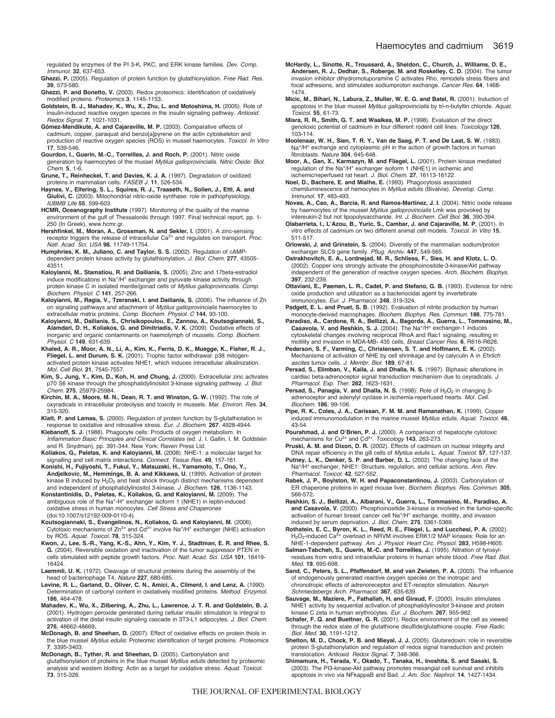regulated by enzymes of the PI 3-K, PKC, and ERK kinase families. *Dev. Comp. Immunol.* **32**, 637-653.

- **Ghezzi, P.** (2005). Regulation of protein function by glutathionylation. *Free Rad. Res.* **39**, 573-580.
- **Ghezzi, P. and Bonetto, V.** (2003). Redox proteomics: Identification of oxidatively modified proteins. *Proteomics* **3**, 1145-1153.
- **Goldstein, B. J., Mahadev, K., Wu, X., Zhu, L. and Motoshima, H.** (2005). Role of insulin-induced reactive oxygen species in the insulin signaling pathway. *Antioxid. Redox Signal.* **7**, 1021-1031.
- **Gómez-Mendikute, A. and Cajaraville, M. P.** (2003). Comparative effects of cadmium, copper, paraquat and benzo[a]pyrene on the actin cytoskeleton and production of reactive oxygen species (ROS) in mussel haemocytes. *Toxicol. In Vitro* **17**, 539-546.
- **Gourdon, I., Guerin, M.-C., Torreilles, J. and Roch, P.** (2001). Nitric oxide generation by haemocytes of the mussel *Mytilus galloprovincialis*. *Nitric Oxide: Biol. Chem.* **5**, 1-6.
- **Grune, T., Reinheckel, T. and Davies, K. J. A.** (1997). Degradation of oxidized proteins in mammalian cells. *FASEB J.* **11**, 526-534.
- **Haynes, V., Elfering, S. L., Squires, R. J., Traaseth, N., Solien, J., Ettl, A. and Giulivi, C.** (2003). Mitochondrial nitric-oxide synthase: role in pathophysiology. *IUBMB Life* **55**, 599-603.
- **HCMR, Oceanography Institute** (1997). Monitoring of the quality of the marine environment of the gulf of Thessaloniki through 1997. Final technical report, pp. 1- 250 (In Greek), www.hcmr.gr.
- **Hershfinkel, M., Moran, A., Grossman, N. and Sekler, I.** (2001). A zinc-sensing receptor triggers the release of intracellular Ca<sup>2+</sup> and regulates ion transport. *Proc. Natl. Acad. Sci. USA* **98**, 11749-11754.
- **Humphries, K. M., Juliano, C. and Taylor, S. S.** (2002). Regulation of cAMPdependent protein kinase activity by glutathionylation. *J. Biol. Chem.* **277**, 43505- 43511.
- **Kaloyianni, M., Stamatiou, R. and Dailianis, S.** (2005). Zinc and 17beta-estradiol induce modifications in Na<sup>+/H+</sup> exchanger and pyruvate kinase activity through protein kinase C in isolated mantle/gonad cells of *Mytilus galloprovincialis*. *Comp. Biochem. Physiol. C* **141**, 257-266.
- **Kaloyianni, M., Ragia, V., Tzeranaki, I. and Dailianis, S.** (2006). The influence of Zn on signaling pathways and attachment of *Mytilus galloprovincialis* haemocytes to extracellular matrix proteins. *Comp. Biochem. Physiol. C* **144**, 93-100.
- **Kaloyianni, M., Dailianis, S., Chrisikopoulou, E., Zannou, A., Koutsogiannaki, S., Alamdari, D. H., Koliakos, G. and Dimitriadis, V. K.** (2009). Oxidative effects of inorganic and organic contaminants on haemolymph of mussels. *Comp. Biochem. Physiol. C* **149**, 631-639.
- **Khaled, A. R., Moor, A. N., Li, A., Kim, K., Ferris, D. K., Muegge, K., Fisher, R. J., Fliegel, L. and Durum, S. K.** (2001). Trophic factor withdrawal: p38 mitogenactivated protein kinase activates NHE1, which induces intracellular alkalinization. *Mol. Cell Biol.* **21**, 7545-7557.
- **Kim, S., Jung, Y., Kim, D., Koh, H. and Chung, J.** (2000). Extracellular zinc activates p70 S6 kinase through the phosphatidylinositol 3-kinase signaling pathway. *J. Biol. Chem.* **275**, 25979-25984.
- **Kirchin, M. A., Moore, M. N., Dean, R. T. and Winston, G. W.** (1992). The role of oxyradicals in intracellular proteolysis and toxicity in mussels. *Mar. Environ. Res.* **34**, 315-320.
- **Klatt, P. and Lamas, S.** (2000). Regulation of protein function by S-glutathiolation in response to oxidative and nitrosative stress. *Eur. J. Biochem.* **267**, 4928-4944.
- **Klebanoff, S. J.** (1988). Phagocyte cells: Products of oxygen metabolism. In *Inflammation Basic Principles and Clinical Correlates* (ed. J. I. Gallin, I. M. Goldstein and R. Snydman), pp. 391-344. New York: Raven Press Ltd.
- **Koliakos, G., Paletas, K. and Kaloyianni, M.** (2008). NHE-1: a molecular target for signalling and cell matrix interactions. *Connect. Tissue Res.* **49**, 157-161.
- **Konishi, H., Fujiyoshi, T., Fukui, Y., Matsuzaki, H., Yamamoto, T., Ono, Y., Andjelkovic, M., Hemmings, B. A. and Kikkawa, U.** (1999). Activation of protein kinase B induced by  $H_2O_2$  and heat shock through distinct mechanisms dependent and independent of phosphatidylinositol 3-kinase. *J. Biochem.* **126**, 1136-1143.
- **Konstantinidis, D., Paletas, K., Koliakos, G. and Kaloyianni, M.** (2009). The ambiguous role of the Na<sup>+</sup>-H<sup>+</sup> exchanger isoform 1 (NHE1) in leptin-induced oxidative stress in human monocytes. *Cell Stress and Chaperones* (doi:10.1007/s12192-009-0110-4).
- **Koutsogiannaki, S., Evangelinos, N., Koliakos, G. and Kaloyianni, M.** (2006). Cytotoxic mechanisms of  $Zn^{2+}$  and  $Cd^{2+}$  involve Na<sup>+</sup>/H<sup>+</sup> exchanger (NHE) activation by ROS. *Aquat. Toxicol.* **78**, 315-324.
- **Kwon, J., Lee, S.-R., Yang, K.-S., Ahn, Y., Kim, Y. J., Stadtman, E. R. and Rhee, S. G.** (2004). Reversible oxidation and inactivation of the tumor suppressor PTEN in cells stimulated with peptide growth factors. *Proc. Natl. Acad. Sci. USA* **101**, 16419- 16424.
- **Laemmli, U. K.** (1972). Cleavage of structural proteins during the assembly of the head of bacteriophage T4. *Nature* **227**, 680-685.
- **Levine, R. L., Garland, D., Oliver, C. N., Amici, A., Climent, I. and Lenz, A.** (1990). Determination of carbonyl content in oxidatively modified proteins. *Method. Enzymol.* **186**, 464-478.
- **Mahadev, K., Wu, X., Zilbering, A., Zhu, L., Lawrence, J. T. R. and Goldstein, B. J.** (2001). Hydrogen peroxide generated during cellular insulin stimulation is integral to activation of the distal insulin signaling cascade in 3T3-L1 adipocytes. *J. Biol. Chem.* **276**, 48662-48669**.**
- **McDonagh, B. and Sheehan, D.** (2007). Effect of oxidative effects on protein thiols in the blue mussel *Mytilus edulis*: Proteomic identification of target proteins. *Proteomics* **7**, 3395-3403.
- **McDonagh, B., Tyther, R. and Sheehan, D.** (2005). Carbonylation and glutathionylation of proteins in the blue mussel *Mytilus edulis* detected by proteomic analysis and western blotting: Actin as a target for oxidative stress. *Aquat. Toxicol.* **73**, 315-326.
- **McHardy, L., Sinotte, R., Troussard, A., Sheldon, C., Church, J., Williams, D. E., Andersen, R. J., Dedhar, S., Roberge, M. and Roskelley, C. D.** (2004). The tumor invasion inhibitor dihydromotuporamine C activates Rho, remodels stress fibers and focal adhesions, and stimulates sodiumproton exchange. *Cancer Res.* **64**, 1468- 1474.
- **Micic, M., Bihari, N., Labura, Z., Muller, W. E. G. and Batel, R.** (2001). Induction of apoptosis in the blue mussel *Mytilus galloprovincialis* by tri-n-butyltin chloride. *Aquat. Toxicol.* **55**, 61-73.
- **Misra, R. R., Smith, G. T. and Waalkes, M. P.** (1998). Evaluation of the direct genotoxic potential of cadmium in four different rodent cell lines. *Toxicology* **126**, 103-114.
- **Moolenaar, W. H., Sien, T. R. Y., Van de Saag, P. T. and De Laat, S. W.** (1983). Na<sup>+</sup>/H<sup>+</sup> exchange and cytoplasmic pH in the action of growth factors in human fibroblasts. *Nature* **304**, 645-648.
- **Moor, A., Gan, X., Karmazyn, M. and Fliegel, L.** (2001). Protein kinase mediated regulation of the Na<sup>+</sup>/H<sup>+</sup> exchanger isoform 1 (NHE1) in ischemic and ischemic/reperfused rat heart. *J. Biol. Chem.* **27**, 16113-16122.
- **Noel, D., Bachere, E. and Mialhe, E.** (1993). Phagocytosis associated chemiluminescence of hemocytes in *Mytilus edulis* (Bivalvia). *Develop. Comp. Immunol.* **17**, 483-493.
- **Novas, A., Cao, A., Barcia, R. and Ramos-Martinez, J. I.** (2004). Nitric oxide release by haemocytes of the mussel *Mytilus galloprovincialis* Lmk was provoked by intereukin-2 but not lipopolysaccharide. *Int. J. Biochem. Cell Biol.* **36**, 390-394.
- **Olabarrieta, I., L'Azou, B., Yuric, S., Cambar, J. and Cajaraville, M. P.** (2001). In vitro effects of cadmium on two different animal cell models. *Toxicol. In Vitro* **15**, 511-517.
- **Orlowski, J. and Grinstein, S.** (2004). Diverstiy of the mammalian sodium/proton exchanger SLC9 gene family. *Pflug. Archiv.* **447**, 549-565.
- **Ostrakhovitch, E. A., Lordnejad, M. R., Schliess, F., Sies, H. and Klotz, L. O.** (2002). Copper ions strongly activate the phosphoinositide-3-kinase/Akt pathway independent of the generation of reactive oxygen species. *Arch. Biochem. Biophys.* **397**, 232-239.
- **Ottaviani, E., Paemen, L. R., Cadet, P. and Stefano, G. B.** (1993). Evidence for nitric oxide production and utilization as a bacteriocidal agent by invertebrate immunocytes. *Eur. J. Pharmacol.* **248**, 319-324.
- **Padgett, E. L. and Pruet, S. B.** (1992). Evaluation of nitrite production by human monocyte-derived macrophages. *Biochem. Biophys. Res. Commun.* **186**, 775-781.
- **Paradiso, A., Cardone, R. A., Bellizzi, A., Bagorda, A., Guerra, L., Tommasino, M., Casavola, V. and Reshkin, S. J.** (2004). The Na+/H+ exchanger-1 induces cytoskeletal changes involving reciprocal RhoA and Rac1 signaling, resulting in motility and invasion in MDA-MB- 435 cells. *Breast Cancer Res.* **6**, R616-R628.
- **Pederson, S. F., Varming, C., Christensen, S. T. and Hoffmann, E. K.** (2002). Mechanisms of activation of NHE by cell shrinkage and by calyculin A in *Ehrlich ascites* tumor cells. *J. Membr. Biol.* **189**, 67-81.
- **Persad, S., Elimban, V., Kaila, J. and Dhalla, N. S.** (1997). Biphasic alterations in cardiac beta-adrenoceptor signal transduction mechanism due to oxyradicals. *J. Pharmacol. Exp. Ther.* **282**, 1623-1631.
- **Persad, S., Panagia, V. and Dhalla, N. S.** (1998). Role of  $H_2O_2$  in changing  $\beta$ adrenoceptor and adenylyl cyclase in ischemia-reperfused hearts. *Mol. Cell. Biochem.* **186**, 99-106.
- Pipe, R. K., Coles, J. A., Carissan, F. M. M. and Ramanathan, K. (1999). Copper induced immunomodulation in the marine mussel *Mytilus edulis*. *Aquat. Toxicol.* **46**, 43-54.
- **Pourahmad, J. and O'Brien, P. J.** (2000). A comparison of hepatocyte cytotoxic mechanisms for Cu<sup>2+</sup> and Cd<sup>2+</sup>. *Toxicology* **143**, 263-273.
- **Pruski, A. M. and Dixon, D. R.** (2002). Effects of cadmium on nuclear integrity and DNA repair efficiency in the gill cells of *Mytilus edulis* L. *Aquat. Toxicol.* **57**, 127-137.
- **Putney, L. K., Denker, S. P. and Barber, D. L.** (2002). The changing face of the Na+/H+ exchanger, NHE1: Structure, regulation, and cellular actions. *Ann. Rev. Pharmacol. Toxicol.* **42**, 527-552.
- **Rabek, J. P., Boylston, W. H. and Papaconstantinou, J.** (2003). Carbonylation of ER chaperone proteins in aged mouse liver. *Biochem. Biophys. Res. Commun.* **305**, 566-572**.**
- **Reshkin, S. J., Bellizzi, A., Albarani, V., Guerra, L., Tommasino, M., Paradiso, A. and Casavola, V.** (2000). Phosphoinositide 3-kinase is involved in the tumor-specific activation of human breast cancer cell Na+/H+ exchange, motility, and invasion induced by serum deprivation. *J. Biol. Chem.* **275**, 5361-5369.
- **Rothstein, E. C., Byron, K. L., Reed, R. E., Fliegel, L. and Lucchesi, P. A.** (2002).  $H_2O_2$ -induced Ca<sup>2+</sup> overload in NRVM involves ERK1/2 MAP kinases: Role for an NHE-1-dependent pathway. *Am. J. Physiol. Heart Circ. Physiol.* **283**, H598-H605.
- **Salman-Tabcheh, S., Guerin, M.-C. and Torreilles, J.** (1995). Nitration of tyrosylresidues from extra and intracellular proteins in human whole blood. *Free Rad. Biol. Med.* **19**, 695-698.
- **Sand, C., Peters, S. L., Pfaffendorf, M. and van Zwieten, P. A.** (2003). The influence of endogenously generated reactive oxygen species on the inotropic and chronotropic effects of adrenoreceptor and ET-receptor stimulation. *Naunyn Schmiedebergs Arch. Pharmacol.* **367**, 635-639.
- **Sauvage, M., Maziere, P., Fathallah, H. and Giraud, F.** (2000). Insulin stimulates NHE1 activity by sequential activation of phosphatidylinositol 3-kinase and protein kinase C zeta in human erythrocytes. *Eur. J. Biochem.* **267**, 955-962.
- **Schafer, F. Q. and Buettner, G. R.** (2001). Redox environment of the cell as viewed through the redox state of the glutathione disulfide/glutathione couple. *Free Radic. Biol. Med.* **30**, 1191-1212.
- **Shelton, M. D., Chock, P. B. and Mieyal, J. J.** (2005). Glutaredoxin: role in reversible protein S-glutathionylation and regulation of redox signal transduction and protein translocation. *Antioxid. Redox Signal.* **7**, 348-366.
- **Shimamura, H., Terada, Y., Okado, T., Tanaka, H., Inoshita, S. and Sasaki, S.** (2003). The PI3-kinase-Akt pathway promotes mesangial cell survival and inhibits apoptosis in vivo via NFkappaB and Bad. *J. Am. Soc. Nephrol.* **14**, 1427-1434.